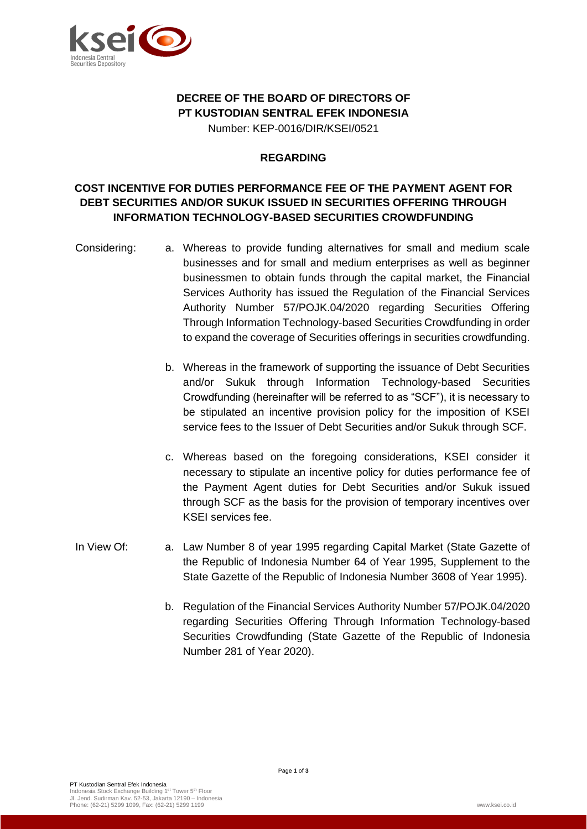

# **DECREE OF THE BOARD OF DIRECTORS OF PT KUSTODIAN SENTRAL EFEK INDONESIA**

Number: KEP-0016/DIR/KSEI/0521

## **REGARDING**

# **COST INCENTIVE FOR DUTIES PERFORMANCE FEE OF THE PAYMENT AGENT FOR DEBT SECURITIES AND/OR SUKUK ISSUED IN SECURITIES OFFERING THROUGH INFORMATION TECHNOLOGY-BASED SECURITIES CROWDFUNDING**

- Considering: a. Whereas to provide funding alternatives for small and medium scale businesses and for small and medium enterprises as well as beginner businessmen to obtain funds through the capital market, the Financial Services Authority has issued the Regulation of the Financial Services Authority Number 57/POJK.04/2020 regarding Securities Offering Through Information Technology-based Securities Crowdfunding in order to expand the coverage of Securities offerings in securities crowdfunding.
	- b. Whereas in the framework of supporting the issuance of Debt Securities and/or Sukuk through Information Technology-based Securities Crowdfunding (hereinafter will be referred to as "SCF"), it is necessary to be stipulated an incentive provision policy for the imposition of KSEI service fees to the Issuer of Debt Securities and/or Sukuk through SCF.
	- c. Whereas based on the foregoing considerations, KSEI consider it necessary to stipulate an incentive policy for duties performance fee of the Payment Agent duties for Debt Securities and/or Sukuk issued through SCF as the basis for the provision of temporary incentives over KSEI services fee.
- In View Of: a. Law Number 8 of year 1995 regarding Capital Market (State Gazette of the Republic of Indonesia Number 64 of Year 1995, Supplement to the State Gazette of the Republic of Indonesia Number 3608 of Year 1995).
	- b. Regulation of the Financial Services Authority Number 57/POJK.04/2020 regarding Securities Offering Through Information Technology-based Securities Crowdfunding (State Gazette of the Republic of Indonesia Number 281 of Year 2020).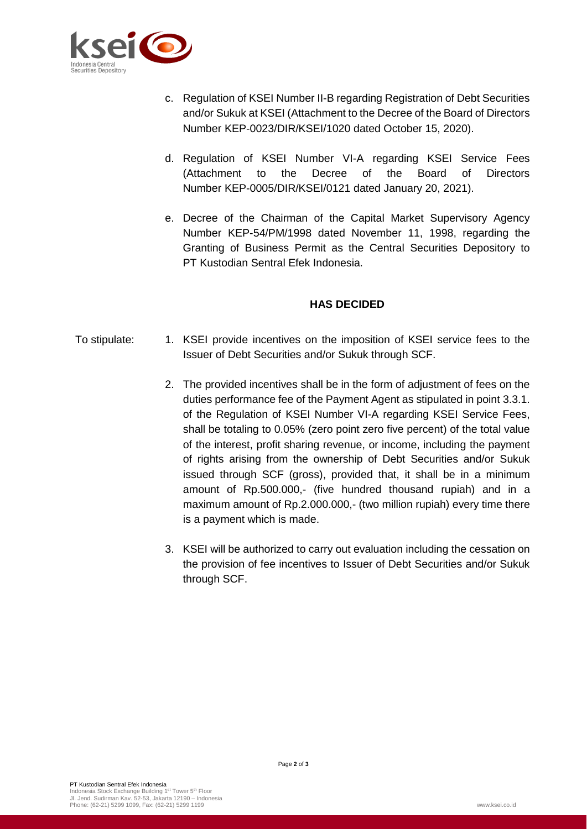

- c. Regulation of KSEI Number II-B regarding Registration of Debt Securities and/or Sukuk at KSEI (Attachment to the Decree of the Board of Directors Number KEP-0023/DIR/KSEI/1020 dated October 15, 2020).
- d. Regulation of KSEI Number VI-A regarding KSEI Service Fees (Attachment to the Decree of the Board of Directors Number KEP-0005/DIR/KSEI/0121 dated January 20, 2021).
- e. Decree of the Chairman of the Capital Market Supervisory Agency Number KEP-54/PM/1998 dated November 11, 1998, regarding the Granting of Business Permit as the Central Securities Depository to PT Kustodian Sentral Efek Indonesia.

#### **HAS DECIDED**

- To stipulate: 1. KSEI provide incentives on the imposition of KSEI service fees to the Issuer of Debt Securities and/or Sukuk through SCF.
	- 2. The provided incentives shall be in the form of adjustment of fees on the duties performance fee of the Payment Agent as stipulated in point 3.3.1. of the Regulation of KSEI Number VI-A regarding KSEI Service Fees, shall be totaling to 0.05% (zero point zero five percent) of the total value of the interest, profit sharing revenue, or income, including the payment of rights arising from the ownership of Debt Securities and/or Sukuk issued through SCF (gross), provided that, it shall be in a minimum amount of Rp.500.000,- (five hundred thousand rupiah) and in a maximum amount of Rp.2.000.000,- (two million rupiah) every time there is a payment which is made.
	- 3. KSEI will be authorized to carry out evaluation including the cessation on the provision of fee incentives to Issuer of Debt Securities and/or Sukuk through SCF.